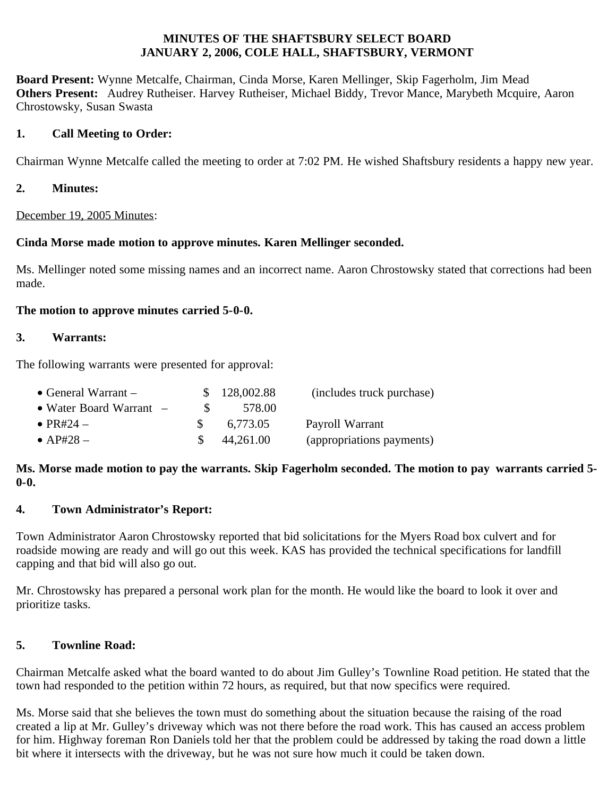#### **MINUTES OF THE SHAFTSBURY SELECT BOARD JANUARY 2, 2006, COLE HALL, SHAFTSBURY, VERMONT**

**Board Present:** Wynne Metcalfe, Chairman, Cinda Morse, Karen Mellinger, Skip Fagerholm, Jim Mead **Others Present:** Audrey Rutheiser. Harvey Rutheiser, Michael Biddy, Trevor Mance, Marybeth Mcquire, Aaron Chrostowsky, Susan Swasta

### **1. Call Meeting to Order:**

Chairman Wynne Metcalfe called the meeting to order at 7:02 PM. He wished Shaftsbury residents a happy new year.

**2. Minutes:**

December 19, 2005 Minutes:

### **Cinda Morse made motion to approve minutes. Karen Mellinger seconded.**

Ms. Mellinger noted some missing names and an incorrect name. Aaron Chrostowsky stated that corrections had been made.

### **The motion to approve minutes carried 5-0-0.**

### **3. Warrants:**

The following warrants were presented for approval:

| • General Warrant $-$     |              | \$128,002.88 | (includes truck purchase) |
|---------------------------|--------------|--------------|---------------------------|
| • Water Board Warrant $-$ | <sup>S</sup> | 578.00       |                           |
| $\bullet$ PR#24 $-$       |              | 6,773.05     | Payroll Warrant           |
| $\bullet$ AP#28 –         |              | 44,261.00    | (appropriations payments) |

### **Ms. Morse made motion to pay the warrants. Skip Fagerholm seconded. The motion to pay warrants carried 5- 0-0.**

# **4. Town Administrator's Report:**

Town Administrator Aaron Chrostowsky reported that bid solicitations for the Myers Road box culvert and for roadside mowing are ready and will go out this week. KAS has provided the technical specifications for landfill capping and that bid will also go out.

Mr. Chrostowsky has prepared a personal work plan for the month. He would like the board to look it over and prioritize tasks.

# **5. Townline Road:**

Chairman Metcalfe asked what the board wanted to do about Jim Gulley's Townline Road petition. He stated that the town had responded to the petition within 72 hours, as required, but that now specifics were required.

Ms. Morse said that she believes the town must do something about the situation because the raising of the road created a lip at Mr. Gulley's driveway which was not there before the road work. This has caused an access problem for him. Highway foreman Ron Daniels told her that the problem could be addressed by taking the road down a little bit where it intersects with the driveway, but he was not sure how much it could be taken down.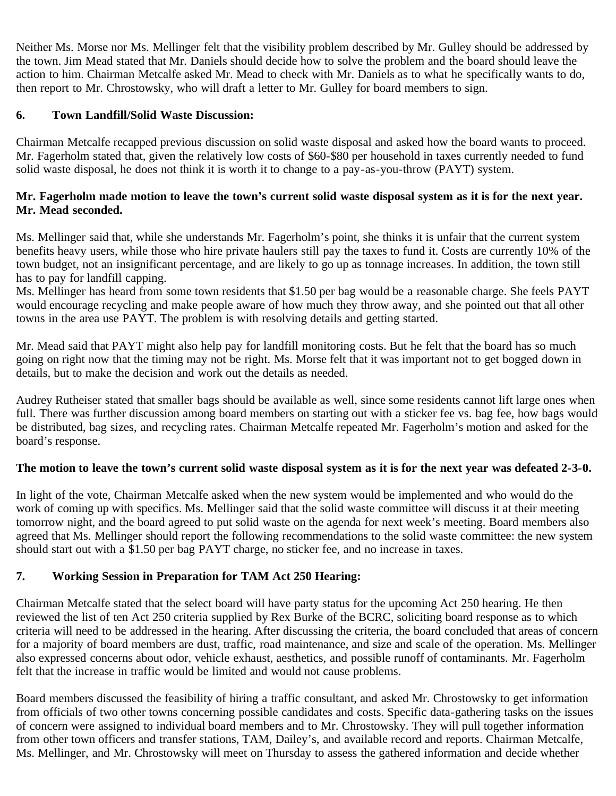Neither Ms. Morse nor Ms. Mellinger felt that the visibility problem described by Mr. Gulley should be addressed by the town. Jim Mead stated that Mr. Daniels should decide how to solve the problem and the board should leave the action to him. Chairman Metcalfe asked Mr. Mead to check with Mr. Daniels as to what he specifically wants to do, then report to Mr. Chrostowsky, who will draft a letter to Mr. Gulley for board members to sign.

### **6. Town Landfill/Solid Waste Discussion:**

Chairman Metcalfe recapped previous discussion on solid waste disposal and asked how the board wants to proceed. Mr. Fagerholm stated that, given the relatively low costs of \$60-\$80 per household in taxes currently needed to fund solid waste disposal, he does not think it is worth it to change to a pay-as-you-throw (PAYT) system.

### **Mr. Fagerholm made motion to leave the town's current solid waste disposal system as it is for the next year. Mr. Mead seconded.**

Ms. Mellinger said that, while she understands Mr. Fagerholm's point, she thinks it is unfair that the current system benefits heavy users, while those who hire private haulers still pay the taxes to fund it. Costs are currently 10% of the town budget, not an insignificant percentage, and are likely to go up as tonnage increases. In addition, the town still has to pay for landfill capping.

Ms. Mellinger has heard from some town residents that \$1.50 per bag would be a reasonable charge. She feels PAYT would encourage recycling and make people aware of how much they throw away, and she pointed out that all other towns in the area use PAYT. The problem is with resolving details and getting started.

Mr. Mead said that PAYT might also help pay for landfill monitoring costs. But he felt that the board has so much going on right now that the timing may not be right. Ms. Morse felt that it was important not to get bogged down in details, but to make the decision and work out the details as needed.

Audrey Rutheiser stated that smaller bags should be available as well, since some residents cannot lift large ones when full. There was further discussion among board members on starting out with a sticker fee vs. bag fee, how bags would be distributed, bag sizes, and recycling rates. Chairman Metcalfe repeated Mr. Fagerholm's motion and asked for the board's response.

### **The motion to leave the town's current solid waste disposal system as it is for the next year was defeated 2-3-0.**

In light of the vote, Chairman Metcalfe asked when the new system would be implemented and who would do the work of coming up with specifics. Ms. Mellinger said that the solid waste committee will discuss it at their meeting tomorrow night, and the board agreed to put solid waste on the agenda for next week's meeting. Board members also agreed that Ms. Mellinger should report the following recommendations to the solid waste committee: the new system should start out with a \$1.50 per bag PAYT charge, no sticker fee, and no increase in taxes.

# **7. Working Session in Preparation for TAM Act 250 Hearing:**

Chairman Metcalfe stated that the select board will have party status for the upcoming Act 250 hearing. He then reviewed the list of ten Act 250 criteria supplied by Rex Burke of the BCRC, soliciting board response as to which criteria will need to be addressed in the hearing. After discussing the criteria, the board concluded that areas of concern for a majority of board members are dust, traffic, road maintenance, and size and scale of the operation. Ms. Mellinger also expressed concerns about odor, vehicle exhaust, aesthetics, and possible runoff of contaminants. Mr. Fagerholm felt that the increase in traffic would be limited and would not cause problems.

Board members discussed the feasibility of hiring a traffic consultant, and asked Mr. Chrostowsky to get information from officials of two other towns concerning possible candidates and costs. Specific data-gathering tasks on the issues of concern were assigned to individual board members and to Mr. Chrostowsky. They will pull together information from other town officers and transfer stations, TAM, Dailey's, and available record and reports. Chairman Metcalfe, Ms. Mellinger, and Mr. Chrostowsky will meet on Thursday to assess the gathered information and decide whether